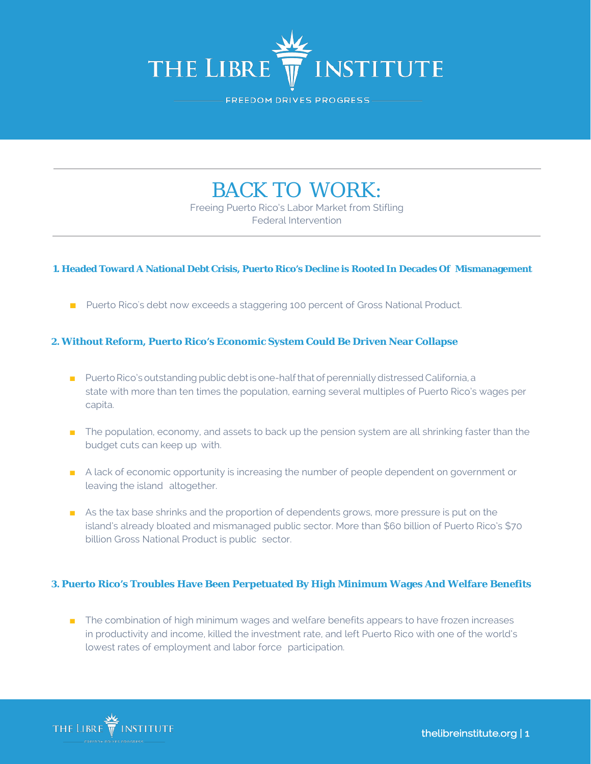

FREEDOM DRIVES PROGRESS

# BACK TO WORK:

Freeing Puerto Rico's Labor Market from Stifling Federal Intervention

#### **1. Headed Toward A National Debt Crisis, Puerto Rico's Decline is Rooted In Decades Of Mismanagement**

■ Puerto Rico's debt now exceeds a staggering 100 percent of Gross National Product.

### **2. Without Reform, Puerto Rico's Economic System Could Be Driven Near Collapse**

- Puerto Rico's outstanding public debt is one-half that of perennially distressed California, a state with more than ten times the population, earning several multiples of Puerto Rico's wages per capita.
- The population, economy, and assets to back up the pension system are all shrinking faster than the budget cuts can keep up with.
- A lack of economic opportunity is increasing the number of people dependent on government or leaving the island altogether.
- As the tax base shrinks and the proportion of dependents grows, more pressure is put on the island's already bloated and mismanaged public sector. More than \$60 billion of Puerto Rico's \$70 billion Gross National Product is public sector.

#### **3. Puerto Rico's Troubles Have Been Perpetuated By High Minimum Wages And Welfare Benefits**

■ The combination of high minimum wages and welfare benefits appears to have frozen increases in productivity and income, killed the investment rate, and left Puerto Rico with one of the world's lowest rates of employment and labor force participation.